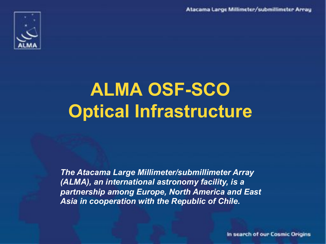Atacama Large Millimeter/submillimeter Array



# **ALMA OSF-SCO Optical Infrastructure**

*The Atacama Large Millimeter/submillimeter Array (ALMA), an international astronomy facility, is a partnership among Europe, North America and East Asia in cooperation with the Republic of Chile.*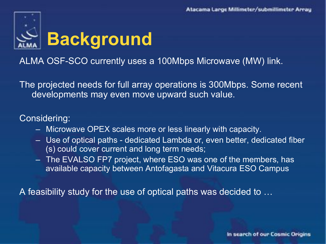

ALMA OSF-SCO currently uses a 100Mbps Microwave (MW) link.

The projected needs for full array operations is 300Mbps. Some recent developments may even move upward such value.

#### Considering:

- Microwave OPEX scales more or less linearly with capacity.
- Use of optical paths dedicated Lambda or, even better, dedicated fiber (s) could cover current and long term needs;
- The EVALSO FP7 project, where ESO was one of the members, has available capacity between Antofagasta and Vitacura ESO Campus

A feasibility study for the use of optical paths was decided to …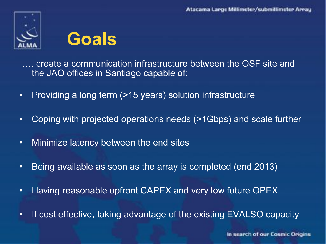



…. create a communication infrastructure between the OSF site and the JAO offices in Santiago capable of:

- Providing a long term (>15 years) solution infrastructure
- Coping with projected operations needs (>1Gbps) and scale further
- Minimize latency between the end sites
- Being available as soon as the array is completed (end 2013)
- Having reasonable upfront CAPEX and very low future OPEX
- If cost effective, taking advantage of the existing EVALSO capacity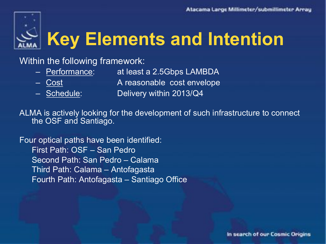

# **Key Elements and Intention**

## Within the following framework:

- Performance: at least a 2.5Gbps LAMBDA
- 

– Cost A reasonable cost envelope

- 
- Schedule: Delivery within 2013/Q4

ALMA is actively looking for the development of such infrastructure to connect the OSF and Santiago.

Four optical paths have been identified: First Path: OSF – San Pedro Second Path: San Pedro – Calama Third Path: Calama – Antofagasta Fourth Path: Antofagasta – Santiago Office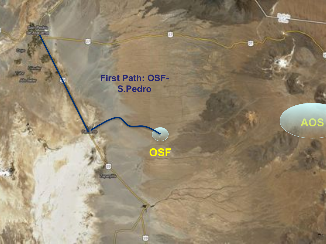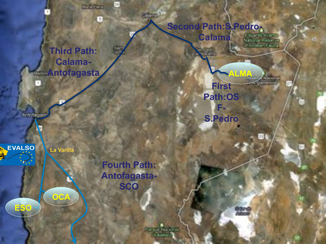**Third Path: Calama-Antofagasta**  **Second Path:S.Pedro-Calama**  i di artic (capta)<br>National Reserve

> **First Path:OS F-**

**ALMA**

**EVVIRONO** 

**S.Pedro** 

 **La Varilla**

**OCA**

**ESO**

**EVALSO** 

Antotagas

**Fourth Path: Antofagasta-SCO** 

**Rock Protect** 

54

**Selfront** 

D-5820

ø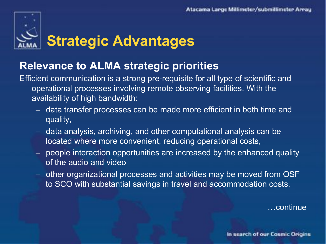# **Strategic Advantages**

# **Relevance to ALMA strategic priorities**

Efficient communication is a strong pre-requisite for all type of scientific and operational processes involving remote observing facilities. With the availability of high bandwidth:

- data transfer processes can be made more efficient in both time and quality,
- data analysis, archiving, and other computational analysis can be located where more convenient, reducing operational costs,
- people interaction opportunities are increased by the enhanced quality of the audio and video
- other organizational processes and activities may be moved from OSF to SCO with substantial savings in travel and accommodation costs.

…continue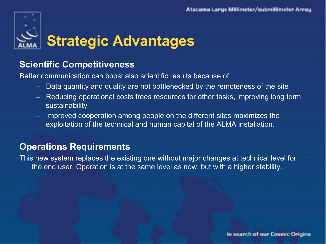

## **Scientific Competitiveness**

Better communication can boost also scientific results because of:

- Data quantity and quality are not bottlenecked by the remoteness of the site
- Reducing operational costs frees resources for other tasks, improving long term sustainability
- Improved cooperation among people on the different sites maximizes the exploitation of the technical and human capital of the ALMA installation.

## **Operations Requirements**

This new system replaces the existing one without major changes at technical level for the end user. Operation is at the same level as now, but with a higher stability.